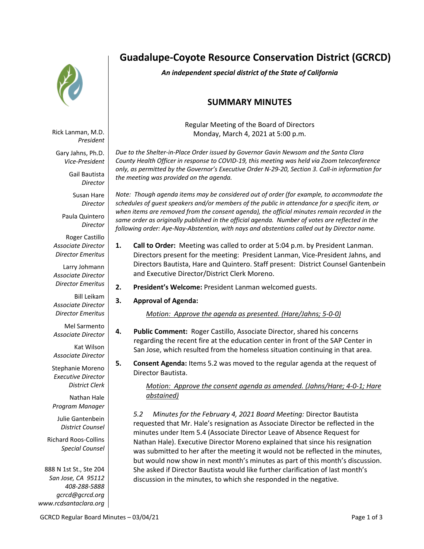

Rick Lanman, M.D. *President*

Gary Jahns, Ph.D. *Vice-President*

Gail Bautista

Susan Hare *Director*

*Director*

Paula Quintero *Director*

Roger Castillo *Associate Director Director Emeritus*

Larry Johmann *Associate Director Director Emeritus*

Bill Leikam *Associate Director Director Emeritus*

Mel Sarmento *Associate Director*

Kat Wilson *Associate Director*

Stephanie Moreno *Executive Director District Clerk*

Nathan Hale *Program Manager*

Julie Gantenbein *District Counsel*

Richard Roos-Collins *Special Counsel*

888 N 1st St., Ste 204 *San Jose, CA 95112 408-288-5888 gcrcd@gcrcd.org www.rcdsantaclara.org*

# **Guadalupe-Coyote Resource Conservation District (GCRCD)**

*An independent special district of the State of California*

## **SUMMARY MINUTES**

Regular Meeting of the Board of Directors Monday, March 4, 2021 at 5:00 p.m.

*Due to the Shelter-in-Place Order issued by Governor Gavin Newsom and the Santa Clara County Health Officer in response to COVID-19, this meeting was held via Zoom teleconference only, as permitted by the Governor's Executive Order N-29-20, Section 3. Call-in information for the meeting was provided on the agenda.*

*Note: Though agenda items may be considered out of order (for example, to accommodate the schedules of guest speakers and/or members of the public in attendance for a specific item, or when items are removed from the consent agenda), the official minutes remain recorded in the same order as originally published in the official agenda. Number of votes are reflected in the following order: Aye-Nay-Abstention, with nays and abstentions called out by Director name.*

- **1. Call to Order:** Meeting was called to order at 5:04 p.m. by President Lanman. Directors present for the meeting: President Lanman, Vice-President Jahns, and Directors Bautista, Hare and Quintero. Staff present: District Counsel Gantenbein and Executive Director/District Clerk Moreno.
- **2. President's Welcome:** President Lanman welcomed guests.
- **3. Approval of Agenda:**

*Motion: Approve the agenda as presented. (Hare/Jahns; 5-0-0)*

- **4. Public Comment:** Roger Castillo, Associate Director, shared his concerns regarding the recent fire at the education center in front of the SAP Center in San Jose, which resulted from the homeless situation continuing in that area.
- **5. Consent Agenda:** Items 5.2 was moved to the regular agenda at the request of Director Bautista.

*Motion: Approve the consent agenda as amended. (Jahns/Hare; 4-0-1; Hare abstained)*

*5.2 Minutes for the February 4, 2021 Board Meeting:* Director Bautista requested that Mr. Hale's resignation as Associate Director be reflected in the minutes under Item 5.4 (Associate Director Leave of Absence Request for Nathan Hale). Executive Director Moreno explained that since his resignation was submitted to her after the meeting it would not be reflected in the minutes, but would now show in next month's minutes as part of this month's discussion. She asked if Director Bautista would like further clarification of last month's discussion in the minutes, to which she responded in the negative.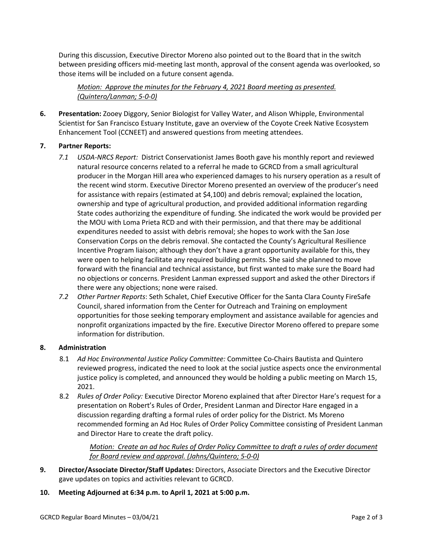During this discussion, Executive Director Moreno also pointed out to the Board that in the switch between presiding officers mid-meeting last month, approval of the consent agenda was overlooked, so those items will be included on a future consent agenda.

*Motion: Approve the minutes for the February 4, 2021 Board meeting as presented. (Quintero/Lanman; 5-0-0)*

**6. Presentation:** Zooey Diggory, Senior Biologist for Valley Water, and Alison Whipple, Environmental Scientist for San Francisco Estuary Institute, gave an overview of the Coyote Creek Native Ecosystem Enhancement Tool (CCNEET) and answered questions from meeting attendees.

#### **7. Partner Reports:**

- *7.1 USDA-NRCS Report:* District Conservationist James Booth gave his monthly report and reviewed natural resource concerns related to a referral he made to GCRCD from a small agricultural producer in the Morgan Hill area who experienced damages to his nursery operation as a result of the recent wind storm. Executive Director Moreno presented an overview of the producer's need for assistance with repairs (estimated at \$4,100) and debris removal; explained the location, ownership and type of agricultural production, and provided additional information regarding State codes authorizing the expenditure of funding. She indicated the work would be provided per the MOU with Loma Prieta RCD and with their permission, and that there may be additional expenditures needed to assist with debris removal; she hopes to work with the San Jose Conservation Corps on the debris removal. She contacted the County's Agricultural Resilience Incentive Program liaison; although they don't have a grant opportunity available for this, they were open to helping facilitate any required building permits. She said she planned to move forward with the financial and technical assistance, but first wanted to make sure the Board had no objections or concerns. President Lanman expressed support and asked the other Directors if there were any objections; none were raised.
- *7.2 Other Partner Reports*: Seth Schalet, Chief Executive Officer for the Santa Clara County FireSafe Council, shared information from the Center for Outreach and Training on employment opportunities for those seeking temporary employment and assistance available for agencies and nonprofit organizations impacted by the fire. Executive Director Moreno offered to prepare some information for distribution.

#### **8. Administration**

- 8.1 *Ad Hoc Environmental Justice Policy Committee:* Committee Co-Chairs Bautista and Quintero reviewed progress, indicated the need to look at the social justice aspects once the environmental justice policy is completed, and announced they would be holding a public meeting on March 15, 2021.
- 8.2 *Rules of Order Policy:* Executive Director Moreno explained that after Director Hare's request for a presentation on Robert's Rules of Order, President Lanman and Director Hare engaged in a discussion regarding drafting a formal rules of order policy for the District. Ms Moreno recommended forming an Ad Hoc Rules of Order Policy Committee consisting of President Lanman and Director Hare to create the draft policy.

*Motion: Create an ad hoc Rules of Order Policy Committee to draft a rules of order document for Board review and approval. (Jahns/Quintero; 5-0-0)*

- **9. Director/Associate Director/Staff Updates:** Directors, Associate Directors and the Executive Director gave updates on topics and activities relevant to GCRCD.
- **10. Meeting Adjourned at 6:34 p.m. to April 1, 2021 at 5:00 p.m.**